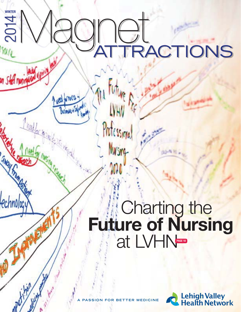# **2014 WINTER**Magnet ATTRACTIONS

Professional

**Mursing** 

an Sheff nun

THOUS P

technology

**Simple Times** 

**Mary** 

 $1<sub>hot</sub>$ 

Week for TWO!

# **Charting the Future of Nursing at LVHN**



**A PASSION FOR BETTER MEDICINE**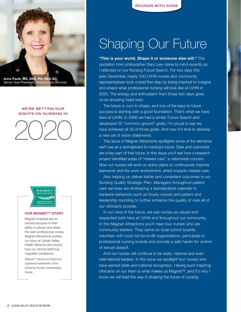

*Senior Vice President, Patient Care Services*

## **WE'RE SETTING OUR SIGHTS ON NURSING IN**





#### **OUR MAGNET<sup>™</sup> STORY**

Magnet hospitals are so named because of their ability to attract and retain the best professional nurses. Magnet Attractions profiles our story at Lehigh Valley Health Network and shows how our clinical staff truly magnifies excellence.

*MagnetTM names and logos are registered trademarks of the American Nurses Credentialing Center.*

## Shaping Our Future

**"This is your world. Shape it or someone else will."** This quotation from philosopher Gary Lew came to mind recently as I reflected on our Nursing Future Search. For two days this past December, nearly 200 LVHN nurses and community representatives took a bold first step by being inspired to imagine and shape what professional nursing will look like at LVHN in 2020. The energy and enthusiasm from those two days gives us an amazing head start.

The future is ours to shape, and one of the keys to future success is starting with a good foundation. That's what we have here at LVHN. In 2006 we had a similar Future Search and developed 25 "common ground" goals. I'm proud to say we have achieved all 25 of those goals. And now it's time to develop a new set of vision statements.

This issue of Magnet Attractions spotlights some of the elements we'll use as a springboard to nursing's future. Data and outcomes are a key part of that future. In this issue you'll see how a research project identified areas of "missed care," a nationwide concern. Now our nurses will work on action plans to continuously improve teamwork and the work environment, which impacts missed care.

Also helping us deliver better and consistent outcomes is our Nursing Quality Strategic Plan. Managers throughout patient care services are embracing a standardized calendar to hardwire behaviors such as hourly rounds and patient and leadership rounding to further enhance the quality of care all of our clinicians provide.

In our view of the future, we see nurses as valued and respected both here at LVHN and throughout our community. In this Magnet Attractions you'll meet four nurses who are community leaders. They serve on local school boards, volunteer with local not-for-profit organizations, participate in professional nursing boards and provide a safe haven for victims of sexual assault.

And our nurses will continue to be state, national and even international leaders. In this issue we spotlight four nurses who have earned state and national recognition. Having such inspiring clinicians on our team is what makes us Magnet™, and it's why I know we will lead the way in shaping the future of nursing.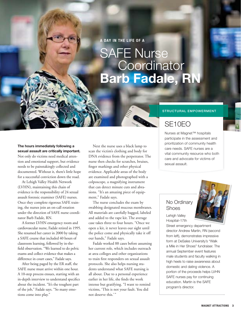**A DAY IN THE LIFE OF A** 

## SAFE Nurse **Coordinator Barb Fadale, RN**

## **STRUCTURAL EMPOWERMENT**

## SE10EO

Nurses at Magnet™ hospitals participate in the assessment and prioritization of community health care needs. SAFE nurses are a vital community resource who both care and advocate for victims of sexual assault.

## No Ordinary Shoes

Lehigh Valley Hospital–17th

Street emergency department director Andrew Martin, RN (second from left), demonstrates impressive form at DeSales University's "Walk a Mile in Her Shoes" fundraiser. The annual September event features male students and faculty walking in high heels to raise awareness about domestic and dating violence. A portion of the proceeds helps LVHN SAFE nurses pay for continuing education. Martin is the SAFE program's director.

**The hours immediately following a sexual assault are critically important.**  Not only do victims need medical attention and emotional support, but evidence needs to be painstakingly collected and documented. Without it, there's little hope for a successful conviction down the road.

At Lehigh Valley Health Network (LVHN), maintaining this chain of evidence is the responsibility of 24 sexual assault forensic examiner (SAFE) nurses. Once they complete rigorous SAFE training, the nurses join an on-call rotation under the direction of SAFE nurse coordinator Barb Fadale, RN.

A former LVHN emergency room and cardiovascular nurse, Fadale retired in 1995. She resumed her career in 2000 by taking a SAFE course that included 40 hours of classroom learning, followed by in-thefield observation. "We learned to do pelvic exams and collect evidence that makes a difference in court cases," Fadale says.

After being paged by the ER staff, the SAFE nurse must arrive within one hour. A 10-step process ensues, starting with an in-depth interview to understand specifics about the incident. "It's the toughest part of the job," Fadale says. "So many emotions come into play."

Next the nurse uses a black lamp to scan the victim's clothing and body for DNA evidence from the perpetrator. The nurse then checks for scratches, bruises, finger markings and other physical evidence. Applicable areas of the body are examined and photographed with a colposcope, a magnifying instrument that can detect minute cuts and abrasions. "It's an amazing piece of equipment," Fadale says.

The nurse concludes the exam by swabbing designated mucous membranes. All materials are carefully bagged, labeled and added to the rape kit. The average case takes three to four hours. "Once we open a kit, it never leaves our sight until the police come and physically take it off our hands," Fadale says.

Fadale worked 88 cases before assuming her current role, which includes outreach at area colleges and other organizations to train first responders on sexual assault protocols. She also helps nursing students understand what SAFE nursing is all about. Due to a personal experience earlier in her life, she finds the work intense but gratifying. "I want to remind victims, 'This is not your fault. You did not deserve this.'"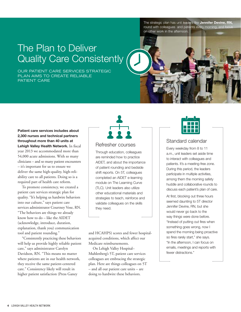The strategic plan has unit leaders like **Jennifer Devine, RN,**  round with colleagues and patients every morning, and focus on other work in the afternoon.

## The Plan to Deliver Quality Care Consistently

OUR PATIENT CARE SERVICES STRATEGIC PLAN AIMS TO CREATE RELIABLE PATIENT CARE



## **Patient care services includes about 2,300 nurses and technical partners throughout more than 40 units at Lehigh Valley Health Network.** In fiscal year 2013 we accommodated more than 54,000 acute admissions. With so many clinicians – and so many patient encounters – it's important for us to ensure we deliver the same high-quality, high-reliability care to all patients. Doing so is a required part of health care reform.

To promote consistency, we created a patient care services strategic plan for quality. "It's helping us hardwire behaviors into our culture," says patient care services administrator Courtney Vose, RN. "The behaviors are things we already know how to do – like the AIDET (acknowledge, introduce, duration, explanation, thank you) communication tool and patient rounding."

"Consistently practicing these behaviors will help us provide highly reliable patient care," says administrator Carolyn Davidson, RN. "This means no matter where patients are in our health network, they receive the same patient-centered care." Consistency likely will result in higher patient satisfaction (Press Ganey

## Refresher courses

Through education, colleagues are reminded how to practice AIDET, and about the importance of patient rounding and bedside shift reports. On 5T, colleagues completed an AIDET e-learning module on The Learning Curve (TLC). Unit leaders also utilize other educational materials and strategies to teach, reinforce and validate colleagues on the skills they need.

and HCAHPS) scores and fewer hospitalacquired conditions, which affect our Medicare reimbursements.

On Lehigh Valley Hospital– Muhlenberg's 5T, patient care services colleagues are embracing the strategic plan. Here are things colleagues on 5T – and all our patient care units – are doing to hardwire these behaviors.



## Standard calendar

Every weekday from 8 to 11 a.m., unit leaders set aside time to interact with colleagues and patients. It's a meeting-free zone. During this period, the leaders participate in multiple activities, among them the morning safety huddle and collaborative rounds to discuss each patient's plan of care.

At first, blocking out three hours seemed daunting to 5T director Jennifer Devine, RN, but she would never go back to the way things were done before. "Instead of putting out fires when something goes wrong, now I spend the morning being proactive so fires rarely start," she says. "In the afternoon, I can focus on emails, meetings and reports with fewer distractions."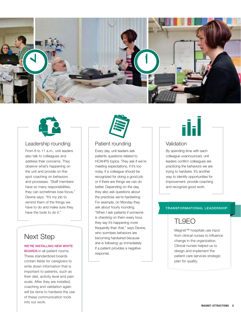



## Leadership rounding

From 8 to 11 a.m., unit leaders also talk to colleagues and address their concerns. They observe what's happening on the unit and provide on-thespot coaching on behaviors and processes. "Staff members have so many responsibilities, they can sometimes lose focus," Devine says. "It's my job to remind them of the things we have to do and make sure they have the tools to do it."

## Next Step

## **WE'RE INSTALLING NEW WHITE**

**BOARDS** in all patient rooms. These standardized boards contain fields for caregivers to write down information that is important to patients, such as their diet, activity level and pain scale. After they are installed, coaching and validation again will be done to hardwire the use of these communication tools into our work.



## Patient rounding

Every day, unit leaders ask patients questions related to HCAHPS topics. They ask if we're meeting expectations, if it's too noisy, if a colleague should be recognized for doing a good job or if there are things we can do better. Depending on the day, they also ask questions about the practices we're hardwiring. For example, on Monday they ask about hourly rounding. "When I ask patients if someone is checking on them every hour, they say it's happening more frequently than that," says Devine, who surmises behaviors are becoming hardwired because she is following up immediately if a patient provides a negative response.



## Validation

By spending time with each colleague unannounced, unit leaders confirm colleagues are practicing the behaviors we are trying to hardwire. It's another way to identify opportunities for improvement, provide coaching and recognize good work.

## **TRANSFORMATIONAL LEADERSHIP**

## TL9EO

Magnet™ hospitals use input from clinical nurses to influence change in the organization. Clinical nurses helped us to design and implement the patient care services strategic plan for quality.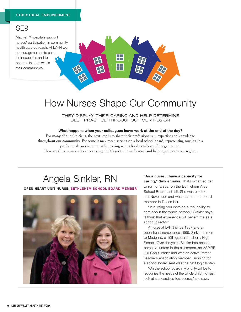## SE9

Magnet™ hospitals support nurses' participation in community health care outreach. At LVHN we encourage nurses to share their expertise and to become leaders within their communities.



## How Nurses Shape Our Community

THEY DISPLAY THEIR CARING AND HELP DETERMINE BEST PRACTICE THROUGHOUT OUR REGION

#### **What happens when your colleagues leave work at the end of the day?**

For many of our clinicians, the next step is to share their professionalism, expertise and knowledge throughout our community. For some it may mean serving on a local school board, representing nursing in a professional association or volunteering with a local not-for-profit organization. Here are three nurses who are carrying the Magnet culture forward and helping others in our region.

## Angela Sinkler, RN

## **OPEN-HEART UNIT NURSE; BETHLEHEM SCHOOL BOARD MEMBER**



**"As a nurse, I have a capacity for caring," Sinkler says.** That's what led her to run for a seat on the Bethlehem Area School Board last fall. She was elected last November and was seated as a board member in December.

"In nursing you develop a real ability to care about the whole person," Sinkler says. "I think that experience will benefit me as a school director."

A nurse at LVHN since 1987 and an open-heart nurse since 1999, Sinkler is mom to Madeline, a 10th grader at Liberty High School. Over the years Sinkler has been a parent volunteer in the classroom, an ASPIRE Girl Scout leader and was an active Parent Teachers Association member. Running for a school board seat was the next logical step.

"On the school board my priority will be to recognize the needs of the whole child, not just look at standardized test scores," she says.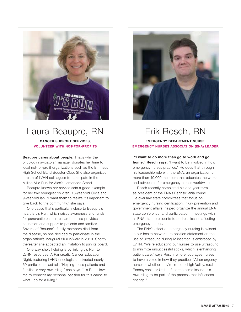

## Laura Beaupre, RN

## **CANCER SUPPORT SERVICES; VOLUNTEER WITH NOT-FOR-PROFITS**

**Beaupre cares about people.** That's why the oncology navigators' manager donates her time to local not-for-profit organizations such as the Emmaus High School Band Booster Club. She also organized a team of LVHN colleagues to participate in the Million Mile Run for Alex's Lemonade Stand.

Beaupre knows her service sets a good example for her two youngest children, 16-year-old Olivia and 9-year-old Ian. "I want them to realize it's important to give back to the community," she says.

One cause that's particularly close to Beaupre's heart is J's Run, which raises awareness and funds for pancreatic cancer research. It also provides education and support to patients and families. Several of Beaupre's family members died from the disease, so she decided to participate in the organization's inaugural 5k run/walk in 2010. Shortly thereafter she accepted an invitation to join its board.

One way she's helping is by linking J's Run to LVHN resources. A Pancreatic Cancer Education Night, featuring LVHN oncologists, attracted nearly 60 participants last fall. "Helping these patients and families is very rewarding," she says. "J's Run allows me to connect my personal passion for this cause to what I do for a living."



## Erik Resch, RN

## **EMERGENCY DEPARTMENT NURSE; EMERGENCY NURSES ASSOCIATION (ENA) LEADER**

 **"I want to do more than go to work and go home," Resch says.** "I want to be involved in how emergency nurses practice." He does that through his leadership role with the ENA, an organization of more than 40,000 members that educates, networks and advocates for emergency nurses worldwide.

Resch recently completed his one-year term as president of the ENA's Pennsylvania council. He oversaw state committees that focus on emergency nursing certification, injury prevention and government affairs; helped organize the annual ENA state conference; and participated in meetings with all ENA state presidents to address issues affecting emergency nurses.

The ENA's effect on emergency nursing is evident in our health network. Its position statement on the use of ultrasound during IV insertion is embraced by LVHN. "We're educating our nurses to use ultrasound to minimize unsuccessful sticks, which is enhancing patient care," says Resch, who encourages nurses to have a voice in how they practice. "All emergency nurses – whether they're in the Lehigh Valley, rural Pennsylvania or Utah – face the same issues. It's rewarding to be part of the process that influences change."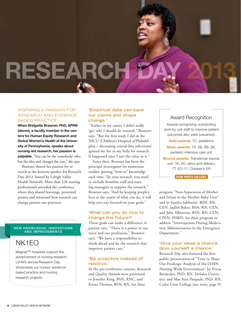# **RESEARCH**

## INSPIRING A PASSION FOR RESEARCH AND EVIDENCE-BASED PRACTICE

**When Bridgette Brawner, PhD, APRN (above), a faculty member in the centers for Human Equity Research and Global Women's Health at the University of Pennsylvania, speaks about nursing-led research, her passion is palpable.** "You can be the 'somebody' who has the idea and changes the care," she says.

Brawner shared her passion for research as the keynote speaker for Research Day 2013, hosted by Lehigh Valley Health Network. More than 220 nursing professionals attended the conference where they shared learnings, presented posters and witnessed how research can change patient care practices.

## **NEW KNOWLEDGE, INNOVATIONS AND IMPROVEMENTS**

## NK1EO

Magnet™ hospitals support the advancement of nursing research. LVHN's annual Research Day showcases our nurses' evidencebased practice and nursing research projects.

## **'Empirical data can back our claims and shape change.'**

 "Earlier in my career, I didn't really 'get' why I should do research," Brawner says. "But the first study I did in the NICU (Children's Hospital *of* Philadelphia – decreasing central-line infections) ignited the fire in my belly for research. It happened once I saw the value in it."

Since then, Brawner has been the principal investigator for numerous studies, gaining "how-to" knowledge each time. "In your research, you need to include frontline staff and nursing managers to support the research," Brawner says. "And by keeping people's lives at the center of what you do, it will help you stay focused on your goals."

## **'What can you do now to change the future?'**

Those goals can make a difference in patient care. "There is a power in our voice and our profession," Brawner says. "We have a responsibility to think ahead and do the research that improves patient care."

## **'Be proactive instead of reactive.'**

At the pre-conference session, Research and Quality Awards were presented to Jennifer King, BSN, RNC, and Krista Thomas, BSN, RN, for their

## Award Recognition

Awards recognizing outstanding work by unit staff to improve patient outcomes also were presented: **Gold awards:** 7C, pediatrics **Silver awards:** 7A, 5B, 6B, 6K, pediatric intensive care unit **Bronze awards: Transitional trauma** unit, 7K, 6C, labor and delivery, 7T, ED–17, Children's ER

**VIEW PHOTO GALLERY**

program "Non-Separation of Mother and Infant in the Mother-Baby Unit" and to Sandra Sabbatini, BSN, RN, CEN, Judith Baker, BSN, RN, CEN, and Julie Albertson, BSN, RN, CEN, CPEN, PHRN, for their program to address "Interruptions During Medication Administration in the Emergency Department."

## **'Give your ideas a chance. Give yourself a chance.'**

Research Day also featured the first public presentation of "Time to Share Our Findings: Analysis of the LVHN Nursing Work Environment" by Tricia Bernecker, PhD, RN, DeSales University, and Mae Ann Pasquale, PhD, RN, Cedar Crest College (see story, page 9).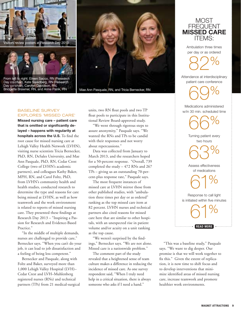



Day co-chair), Carolyn Davidson, RN,



Mae Ann Pasquale, RN, and Tricia Bernecker, RN

## BASELINE SURVEY EXPLORES 'MISSED CARE'

**Missed nursing care – patient care that is omitted or significantly delayed – happens with regularity at hospitals across the U.S.** To find the root cause for missed nursing care at Lehigh Valley Health Network (LVHN), visiting nurse scientists Tricia Bernecker, PhD, RN, DeSales University, and Mae Ann Pasquale, PhD, RN, Cedar Crest College (two of LVHN's academic partners), and colleagues Kathy Baker, MPH, RN, and Carol Foltz, PhD, from LVHN's community health and health studies, conducted research to determine the type and reasons for care being missed at LVHN, as well as how teamwork and the work environment is related to reports of missed nursing care. They presented these findings at Research Day 2013 – "Inspiring a Passion for Research and Evidence-Based Practice."

"In the middle of multiple demands, nurses are challenged to provide care," Bernecker says. "When you can't do your job, it can lead to job dissatisfaction and a feeling of being less competent."

Bernecker and Pasquale, along with Foltz and Baker, surveyed more than 1,000 Lehigh Valley Hospital (LVH)– Cedar Crest and LVH–Muhlenberg registered nurses (RNs) and technical partners (TPs) from 21 medical-surgical units, two RN float pools and two TP float pools to participate in this Institutional Review Board-approved study.

"We went through rigorous steps to assure anonymity," Pasquale says. "We wanted the RNs and TPs to be candid with their responses and not worry about repercussions."

Data was collected from January to March 2013, and the researchers hoped for a 50-percent response. "Overall, 739 completed the study – 472 RNs and 267 TPs – giving us an outstanding 70-percent-plus response rate," Pasquale says.

The most frequent instances of missed care at LVHN mirror those from other published studies, with "ambulation three times per day or as ordered" ranking as the top missed care item at 82 percent. LVHN nurses and technical partners also cited reasons for missed care here that are similar to other hospitals, with an unexpected rise in patient volume and/or acuity on a unit ranking as the top cause.

"We weren't surprised by the findings," Bernecker says. "We are not alone. Missed care is a nationwide problem."

The comment part of the study revealed that a heightened sense of team culture makes a difference in reducing the incidence of missed care. As one survey respondent said, "When I truly need help in a critical situation, there is always someone who asks if I need a hand."

## MOST FREQUENT **MISSED CARE**  ITEMS:

Ambulation three times per day or as ordered



Attendance at interdisciplinary patient care conference

69%

Medications administered w/in 30 min. scheduled time

> 66% Turning patient every two hours

63%

Assess effectiveness of medications

61% Response to call light is initiated within five minutes 61%

**READ MORE** 

"This was a baseline study," Pasquale says. "We want to dig deeper. Our promise is that we will work together to fix this." Given the extent of replication, it is now time to shift focus and to develop interventions that minimize identified areas of missed nursing care, increase teamwork and promote healthier work environments.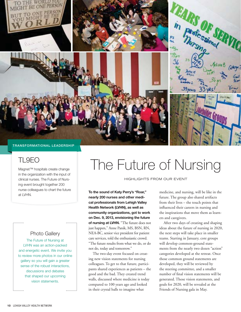

## TL9EO

Magnet™ hospitals create change in the organization with the input of clinical nurses. The Future of Nursing event brought together 200 nurse colleagues to chart the future at LVHN.

## Photo Gallery

The Future of Nursing at LVHN was an action-packed and energetic event. We invite you to review more photos in our online gallery so you will gain a greater sense of the robust interactions, discussions and debates that shaped our upcoming vision statements.

# The Future of Nursing

HIGHLIGHTS FROM OUR EVENT

**To the sound of Katy Perry's "Roar," nearly 200 nurses and other medical professionals from Lehigh Valley Health Network (LVHN), as well as community organizations, got to work on Dec. 9, 2013, envisioning the future of nursing at LVHN.** "The future does not just happen," Anne Panik, MS, BSN, RN, NEA-BC, senior vice president for patient care services, told the enthusiastic crowd. "The future results from what we do, or do not do, today and tomorrow."

The two-day event focused on creating new vision statements for nursing colleagues. To get to that future, participants shared experiences as patients – the good and the bad. They created trend walls, discussed where medicine is today compared to 100 years ago and looked in their crystal balls to imagine what

medicine, and nursing, will be like in the future. The group also shared artifacts from their lives – the touch points that influenced their careers in nursing and the inspirations that move them as learners and caregivers.

After two days of creating and shaping ideas about the future of nursing in 2020, the next steps will take place in smaller teams. Starting in January, core groups will develop common-ground statements from the nearly two dozen "action" categories developed at the retreat. Once those common ground statements are developed, they will be reviewed by the steering committee, and a smaller number of final vision statements will be generated. Those vision statements, and goals for 2020, will be revealed at the Friends of Nursing gala in May.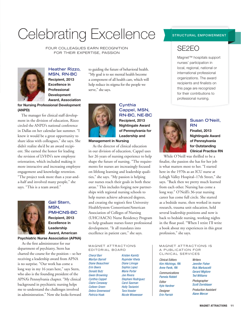# Celebrating Excellence

FOUR COLLEAGUES EARN RECOGNITION FOR THEIR EXPERTISE, PASSION



**Heather Rizzo, MSN, RN-BC Recipient, 2013 Excellence in Professional Development Award, Association** 

**for Nursing Professional Development (ANPD)**

The manager for clinical staff development in the division of education, Rizzo circled the ANPD's national conference in Dallas on her calendar last summer. "I knew it would be a great opportunity to share ideas with colleagues," she says. She didn't realize she'd be an award recipient. She earned the honor for leading the revision of LVHN's new employee orientation, which included making it more interactive and increasing employee engagement and knowledge retention. "The project took more than a year-anda-half and involved many people," she says. "This is a team award."



**Gail Stern, MSN, PMHCNS-BC Recipient, 2013 Excellence in Leadership Award, American Psychiatric Nurse Association (APNA)**

As the first administrator for our department of psychiatry, Stern has charted the course for the position – so her receiving a leadership award from APNA is no surprise. "Our work has come a long way in my 16 years here," says Stern, who also is the founding president of the APNA's Pennsylvania chapter. "My clinical background in psychiatric nursing helps me to understand the challenges involved in administration." Now she looks forward

to guiding the future of behavioral health. "My goal is to see mental health become a component of all health care, which will help reduce its stigma for the people we serve," she says.



## **Cynthia Cappel, MSN, RN-BC, NE-BC Recipient, 2013 Nightingale Award**

**of Pennsylvania for Leadership and** 

**Management in Nursing**

As the director of clinical education in our division of education, Cappel uses her 26 years of nursing experience to help shape the future of nursing. "The requirements for nurses are increasingly focused on lifelong learning and leadership qualities," she says. "My passion is helping our nurses reach their goals in both these areas." This includes forging new partnerships with regional nursing schools to help nurses achieve advanced degrees, and creating the region's first University HealthSystem Consortium/American Association of Colleges of Nursing (UHC/AACN) Nurse Residency Program to help graduate nurses foster professional development. "It all translates into excellence in patient care," she says.

#### **MAGNET ATTRACTIONS** EDITORIAL BOARD

Cheryl Barr Marilyn Barrell Diane Beauchner Erin Beers Donald Butz Gwen Browning Cynthia Cappel Claire Conaway Colleen Green Debra Greenwood Patricia Hoak

Kristen Kamitz Rupinder Khela Diane Limoge Sophia Lopez Marie Porter Joe Rivera Stephani Rodriguez Carol Saxman Holly Tavianini Tara Vossler Nicole Wiswesser

## **STRUCTURAL EMPOWERMENT**



Magnet™ hospitals support nurses' participation in local, regional, national or international professional organizations. The award recipients and finalists on this page are recognized for their contributions to professional nursing.



## **Susan O'Neill, RN**

**Finalist, 2013 Nightingale Award of Pennsylvania for Outstanding Clinical Practice RN**

While O'Neill was thrilled to be a finalist, the passion she has for her job is what matters most to her. "I started here in the 1970s as an ICU nurse at Lehigh Valley Hospital–17th Street," she says. "Back then we pretty much learned from each other. Nursing has come a long way." O'Neill's 36-year nursing career has come full circle. She started as a bedside nurse, then worked in nurse research, trauma unit education, held several leadership positions and now is back to bedside nursing, working nights in the float pool. "When I retire I'll write a book about my experiences in this great profession," she says.

#### **MAGNET ATTRACTIONS IS** A PUBLICATION FOR CLINICAL SERVICES

Clinical Editors Kim Hitchings, RN Anne Panik, RN Communications Pamela Riddell Editor Kyle Hardner Designer Erin Parrish

**Writers** Jennifer Fisher Rick Martuscelli Gerard Migliore Ted Williams **Photographer** Scott Dornblaser Production Assistant Alane Mercer